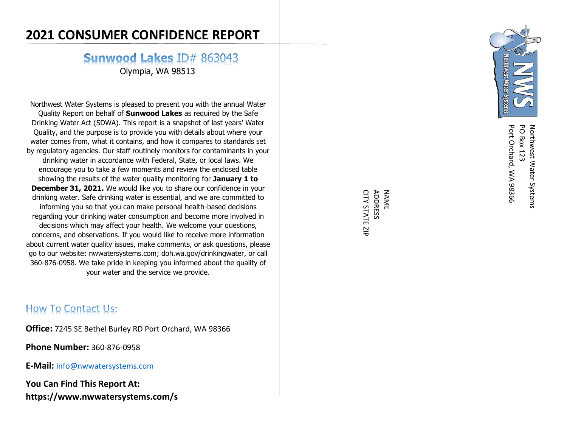# **2021 CONSUMER CONFIDENCE REPORT**

**Sunwood Lakes ID# 863043** 

Olympia, WA 98513

Northwest Water Systems is pleased to present you with the annual Water Quality Report on behalf of **Sunwood Lakes** as required by the Safe Drinking Water Act (SDWA). This report is a snapshot of last years' Water Quality, and the purpose is to provide you with details about where your water comes from, what it contains , and how it compares to standards set by regulatory agencies. Our staff routinely monitors for contaminants in your drinking water in accordance with Federal, State, or local laws. We encourage you to take a few moments and review the enclosed table showing the results of the water quality monitoring for **January 1 to December 31, 2021.** We would like you to share our confidence in your drinking water. Safe drinking water is essential, and we are committed to informing you so that you can make personal health -based decisions regarding your drinking water consumption and become more involved in decisions which may affect your health. We welcome your questions, concerns, and observations. If you would like to receive more information about current water quality issues, make comments, or ask questions, please go to our website : nwwatersystems.com; doh.wa.gov/drinkingwater , or call 360 -876 -0958 . We take pride in keeping you informed about the quality of your water and the service we provide .

## **How To Contact Us:**

**Office:** 7245 SE Bethel Burley RD Port Orchard, WA 98366

**Phone Number:** 360 -876 -0958

**E -Mail:** info@nwwatersystems.com

**You Can Find This Report At : https://www.nwwatersystems.com / s**



Port Orchard, WA 98366 **PO Box 123** Northwest Water Systems Port Orchard, WA 98366 PO Box 123 Northwest Water Systems

CITY STATE ZIP **ADDRESS** NAME CITY STATE ZIP ADDRESS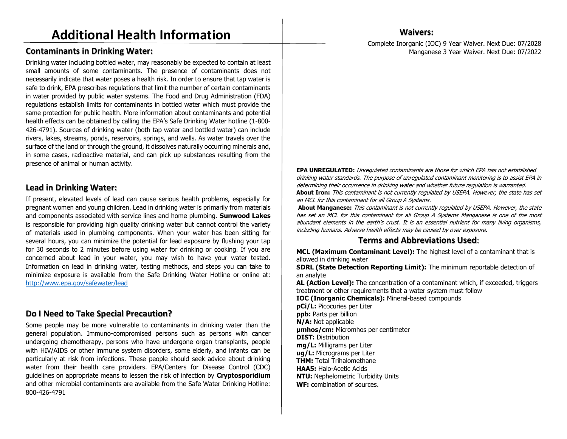#### **Contaminants in Drinking Water:**

Drinking water including bottled water, may reasonably be expected to contain at least small amounts of some contaminants. The presence of contaminants does not necessarily indicate that water poses a health risk. In order to ensure that tap water is safe to drink, EPA prescribes regulations that limit the number of certain contaminants in water provided by public water systems. The Food and Drug Administration (FDA) regulations establish limits for contaminants in bottled water which must provide the same protection for public health. More information about contaminants and potential health effects can be obtained by calling the EPA's Safe Drinking Water hotline (1-800- 426-4791). Sources of drinking water (both tap water and bottled water) can include rivers, lakes, streams, ponds, reservoirs, springs, and wells. As water travels over the surface of the land or through the ground, it dissolves naturally occurring minerals and, in some cases, radioactive material, and can pick up substances resulting from the presence of animal or human activity.

#### **Lead in Drinking Water:**

If present, elevated levels of lead can cause serious health problems, especially for pregnant women and young children. Lead in drinking water is primarily from materials and components associated with service lines and home plumbing. **Sunwood Lakes** is responsible for providing high quality drinking water but cannot control the variety of materials used in plumbing components. When your water has been sitting for several hours, you can minimize the potential for lead exposure by flushing your tap for 30 seconds to 2 minutes before using water for drinking or cooking. If you are concerned about lead in your water, you may wish to have your water tested. Information on lead in drinking water, testing methods, and steps you can take to minimize exposure is available from the Safe Drinking Water Hotline or online at: http://www.epa.gov/safewater/lead

#### **Do I Need to Take Special Precaution?**

Some people may be more vulnerable to contaminants in drinking water than the general population. Immuno-compromised persons such as persons with cancer undergoing chemotherapy, persons who have undergone organ transplants, people with HIV/AIDS or other immune system disorders, some elderly, and infants can be particularly at risk from infections. These people should seek advice about drinking water from their health care providers. EPA/Centers for Disease Control (CDC) guidelines on appropriate means to lessen the risk of infection by **Cryptosporidium** and other microbial contaminants are available from the Safe Water Drinking Hotline: 800-426-4791

#### **Waivers:**

Complete Inorganic (IOC) 9 Year Waiver. Next Due: 07/2028 Manganese 3 Year Waiver. Next Due: 07/2022

**EPA UNREGULATED:** Unregulated contaminants are those for which EPA has not established drinking water standards. The purpose of unregulated contaminant monitoring is to assist EPA in determining their occurrence in drinking water and whether future regulation is warranted. **About Iron:** This contaminant is not currently regulated by USEPA. However, the state has set an MCL for this contaminant for all Group A Systems.

**About Manganese:** This contaminant is not currently regulated by USEPA. However, the state has set an MCL for this contaminant for all Group A Systems Manganese is one of the most abundant elements in the earth's crust. It is an essential nutrient for many living organisms, including humans. Adverse health effects may be caused by over exposure.

#### **Terms and Abbreviations Used**:

**MCL (Maximum Contaminant Level):** The highest level of a contaminant that is allowed in drinking water

**SDRL (State Detection Reporting Limit):** The minimum reportable detection of an analyte

**AL (Action Level):** The concentration of a contaminant which, if exceeded, triggers treatment or other requirements that a water system must follow

**IOC (Inorganic Chemicals):** Mineral-based compounds **pCi/L:** Picocuries per Liter **ppb:** Parts per billion **N/A:** Not applicable **μmhos/cm:** Micromhos per centimeter **DIST:** Distribution **mg/L:** Milligrams per Liter **ug/L:** Micrograms per Liter **THM:** Total Trihalomethane **HAA5:** Halo-Acetic Acids **NTU:** Nephelometric Turbidity Units **WF:** combination of sources.